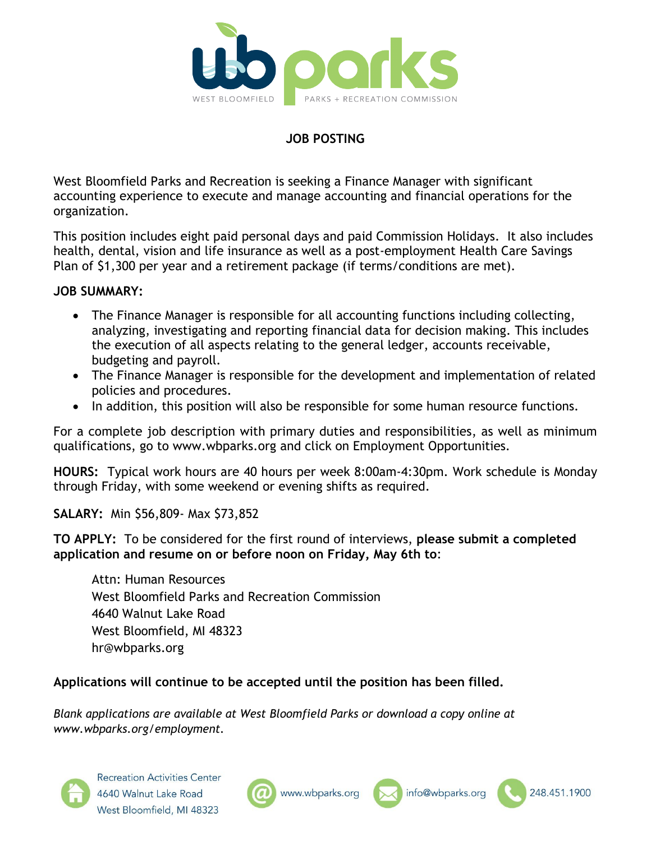

## **JOB POSTING**

West Bloomfield Parks and Recreation is seeking a Finance Manager with significant accounting experience to execute and manage accounting and financial operations for the organization.

This position includes eight paid personal days and paid Commission Holidays. It also includes health, dental, vision and life insurance as well as a post-employment Health Care Savings Plan of \$1,300 per year and a retirement package (if terms/conditions are met).

### **JOB SUMMARY:**

- The Finance Manager is responsible for all accounting functions including collecting, analyzing, investigating and reporting financial data for decision making. This includes the execution of all aspects relating to the general ledger, accounts receivable, budgeting and payroll.
- The Finance Manager is responsible for the development and implementation of related policies and procedures.
- In addition, this position will also be responsible for some human resource functions.

For a complete job description with primary duties and responsibilities, as well as minimum qualifications, go to www.wbparks.org and click on Employment Opportunities.

**HOURS:** Typical work hours are 40 hours per week 8:00am-4:30pm. Work schedule is Monday through Friday, with some weekend or evening shifts as required.

**SALARY:** Min \$56,809- Max \$73,852

**TO APPLY:** To be considered for the first round of interviews, **please submit a completed application and resume on or before noon on Friday, May 6th to**:

Attn: Human Resources West Bloomfield Parks and Recreation Commission 4640 Walnut Lake Road West Bloomfield, MI 48323 hr@wbparks.org

## **Applications will continue to be accepted until the position has been filled.**

*Blank applications are available at West Bloomfield Parks or download a copy online at www.wbparks.org/employment.*







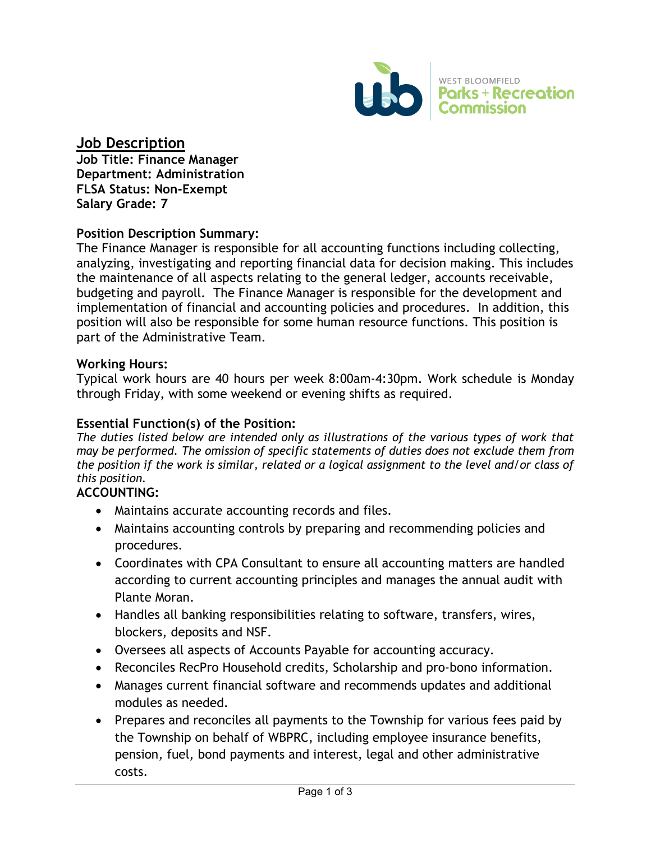

# **Job Description**

**Job Title: Finance Manager Department: Administration FLSA Status: Non-Exempt Salary Grade: 7** 

## **Position Description Summary:**

The Finance Manager is responsible for all accounting functions including collecting, analyzing, investigating and reporting financial data for decision making. This includes the maintenance of all aspects relating to the general ledger, accounts receivable, budgeting and payroll. The Finance Manager is responsible for the development and implementation of financial and accounting policies and procedures. In addition, this position will also be responsible for some human resource functions. This position is part of the Administrative Team.

#### **Working Hours:**

Typical work hours are 40 hours per week 8:00am-4:30pm. Work schedule is Monday through Friday, with some weekend or evening shifts as required.

#### **Essential Function(s) of the Position:**

*The duties listed below are intended only as illustrations of the various types of work that may be performed. The omission of specific statements of duties does not exclude them from the position if the work is similar, related or a logical assignment to the level and/or class of this position.*

## **ACCOUNTING:**

- Maintains accurate accounting records and files.
- Maintains accounting controls by preparing and recommending policies and procedures.
- Coordinates with CPA Consultant to ensure all accounting matters are handled according to current accounting principles and manages the annual audit with Plante Moran.
- Handles all banking responsibilities relating to software, transfers, wires, blockers, deposits and NSF.
- Oversees all aspects of Accounts Payable for accounting accuracy.
- Reconciles RecPro Household credits, Scholarship and pro-bono information.
- Manages current financial software and recommends updates and additional modules as needed.
- Prepares and reconciles all payments to the Township for various fees paid by the Township on behalf of WBPRC, including employee insurance benefits, pension, fuel, bond payments and interest, legal and other administrative costs.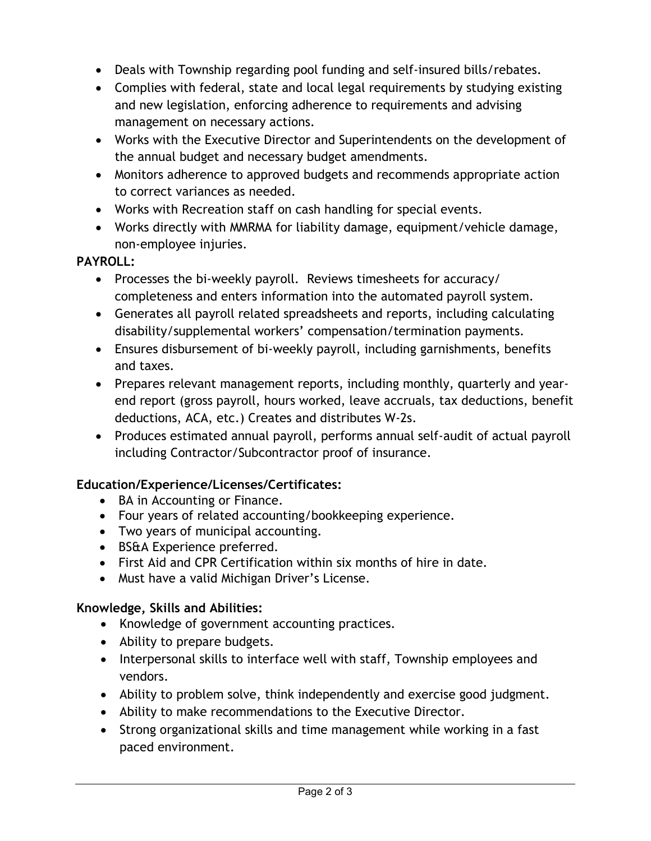- Deals with Township regarding pool funding and self-insured bills/rebates.
- Complies with federal, state and local legal requirements by studying existing and new legislation, enforcing adherence to requirements and advising management on necessary actions.
- Works with the Executive Director and Superintendents on the development of the annual budget and necessary budget amendments.
- Monitors adherence to approved budgets and recommends appropriate action to correct variances as needed.
- Works with Recreation staff on cash handling for special events.
- Works directly with MMRMA for liability damage, equipment/vehicle damage, non-employee injuries.

## **PAYROLL:**

- Processes the bi-weekly payroll. Reviews timesheets for accuracy/ completeness and enters information into the automated payroll system.
- Generates all payroll related spreadsheets and reports, including calculating disability/supplemental workers' compensation/termination payments.
- Ensures disbursement of bi-weekly payroll, including garnishments, benefits and taxes.
- Prepares relevant management reports, including monthly, quarterly and yearend report (gross payroll, hours worked, leave accruals, tax deductions, benefit deductions, ACA, etc.) Creates and distributes W-2s.
- Produces estimated annual payroll, performs annual self-audit of actual payroll including Contractor/Subcontractor proof of insurance.

# **Education/Experience/Licenses/Certificates:**

- BA in Accounting or Finance.
- Four years of related accounting/bookkeeping experience.
- Two years of municipal accounting.
- BS&A Experience preferred.
- First Aid and CPR Certification within six months of hire in date.
- Must have a valid Michigan Driver's License.

# **Knowledge, Skills and Abilities:**

- Knowledge of government accounting practices.
- Ability to prepare budgets.
- Interpersonal skills to interface well with staff, Township employees and vendors.
- Ability to problem solve, think independently and exercise good judgment.
- Ability to make recommendations to the Executive Director.
- Strong organizational skills and time management while working in a fast paced environment.